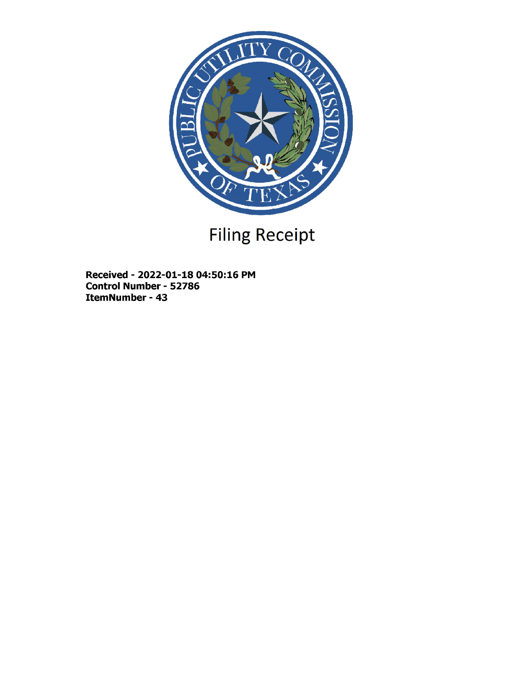

# Filing Receipt

Received - 2022-01-18 04:50:16 PM Control Number - 52786 ItemNumber - 43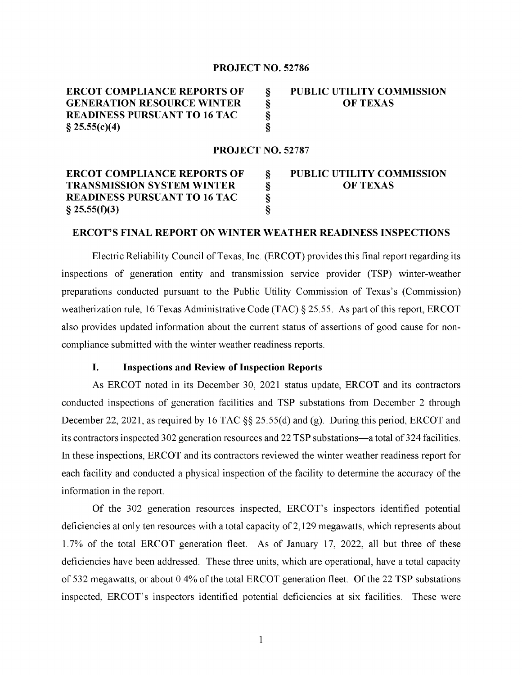### PROJECT NO. 52786

| <b>ERCOT COMPLIANCE REPORTS OF</b>  | <b>PUBLIC UTILITY COMMISSION</b> |
|-------------------------------------|----------------------------------|
| <b>GENERATION RESOURCE WINTER</b>   | <b>OF TEXAS</b>                  |
| <b>READINESS PURSUANT TO 16 TAC</b> |                                  |
| $\S 25.55(c)(4)$                    |                                  |

# PROJECT NO. 52787

# ERCOT COMPLIANCE REPORTS OF § PUBLIC UTILITY COMMISSION TRANSMISSION SYSTEM WINTER  $\S$  OF TEXAS READINESS PURSUANT TO 16 TAC §<br>§ 25.55(f)(3) §  $\S$  25.55(f)(3)

#### ERCOT'S FINAL REPORT ON WINTER WEATHER READINESS INSPECTIONS

Electric Reliability Council of Texas, Inc. (ERCOT) provides this final report regarding its inspections of generation entity and transmission service provider (TSP) winter-weather preparations conducted pursuant to the Public Utility Commission of Texas's (Commission) weatherization rule, 16 Texas Administrative Code (TAC)  $\S 25.55$ . As part of this report, ERCOT also provides updated information about the current status of assertions of good cause for noncompliance submitted with the winter weather readiness reports.

## I. Inspections and Review of Inspection Reports

As ERCOT noted in its December 30, 2021 status update, ERCOT and its contractors conducted inspections of generation facilities and TSP substations from December 2 through December 22, 2021, as required by 16 TAC §§ 25.55(d) and (g). During this period, ERCOT and its contractors inspected 302 generation resources and 22 TSP substations—a total of 324 facilities. In these inspections, ERCOT and its contractors reviewed the winter weather readiness report for each facility and conducted a physical inspection of the facility to determine the accuracy of the information in the report.

Of the 302 generation resources inspected, ERCOT's inspectors identified potential deficiencies at only ten resources with a total capacity of 2,129 megawatts, which represents about 1.7% of the total ERCOT generation fleet. As of January 17, 2022, all but three of these deficiencies have been addressed. These three units, which are operational, have a total capacity of 532 megawatts, or about 0.4% of the total ERCOT generation fleet. Of the 22 TSP substations inspected, ERCOT's inspectors identified potential deficiencies at six facilities. These were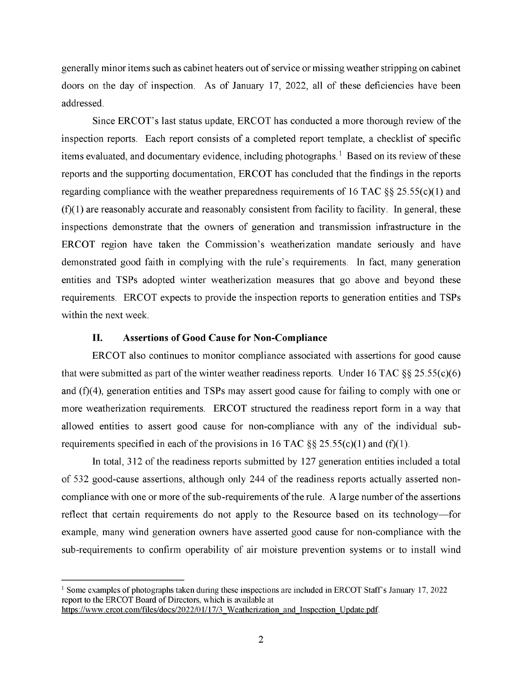generally minor items such as cabinet heaters out of service or missing weather stripping on cabinet doors on the day of inspection. As of January 17, 2022, all of these deficiencies have been addressed.

Since ERCOT' s last status update, ERCOT has conducted a more thorough review of the inspection reports. Each report consists of a completed report template, a checklist of specific items evaluated, and documentary evidence, including photographs.<sup>1</sup> Based on its review of these reports and the supporting documentation, ERCOT has concluded that the findings in the reports regarding compliance with the weather preparedness requirements of 16 TAC  $\S$ § 25.55(c)(1) and  $(f)(1)$  are reasonably accurate and reasonably consistent from facility to facility. In general, these inspections demonstrate that the owners of generation and transmission infrastructure in the ERCOT region have taken the Commission's weatherization mandate seriously and have demonstrated good faith in complying with the rule's requirements. In fact, many generation entities and TSPs adopted winter weatherization measures that go above and beyond these requirements. ERCOT expects to provide the inspection reports to generation entities and TSPs within the next week.

## II. Assertions of Good Cause for Non-Compliance

ERCOT also continues to monitor compliance associated with assertions for good cause that were submitted as part of the winter weather readiness reports. Under 16 TAC  $\S$ § 25.55(c)(6) and (f)(4), generation entities and TSPs may assert good cause for failing to comply with one or more weatherization requirements. ERCOT structured the readiness report form in a way that allowed entities to assert good cause for non-compliance with any of the individual subrequirements specified in each of the provisions in 16 TAC  $\S$ § 25.55(c)(1) and (f)(1).

In total, 312 of the readiness reports submitted by 127 generation entities included a total of 532 good-cause assertions, although only 244 of the readiness reports actually asserted noncompliance with one or more of the sub-requirements of the rule. A large number of the assertions reflect that certain requirements do not apply to the Resource based on its technology—for example, many wind generation owners have asserted good cause for non-compliance with the sub-requirements to confirm operability of air moisture prevention systems or to install wind

<sup>&</sup>lt;sup>1</sup> Some examples of photographs taken during these inspections are included in ERCOT Staff's January 17, 2022 report to the ERCOT Board of Directors, which is available at https://www.ercot.com/files/docs/2022/01/17/3 Weatherization and Inspection Update.pdf.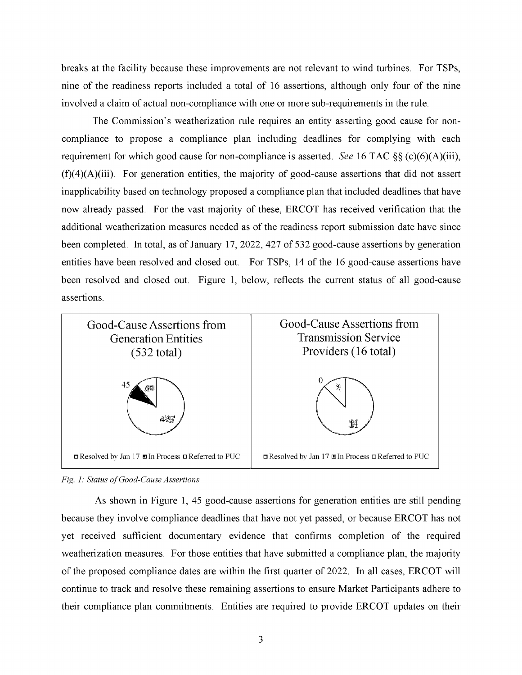breaks at the facility because these improvements are not relevant to wind turbines. For TSPs, nine of the readiness reports included a total of 16 assertions, although only four of the nine involved a claim of actual non-compliance with one or more sub-requirements in the rule.

The Commission's weatherization rule requires an entity asserting good cause for noncompliance to propose a compliance plan including deadlines for complying with each requirement for which good cause for non-compliance is asserted. See 16 TAC §§ (c)(6)(A)(iii),  $(f)(4)(A)(iii)$ . For generation entities, the majority of good-cause assertions that did not assert inapplicability based on technology proposed a compliance plan that included deadlines that have now already passed. For the vast majority of these, ERCOT has received verification that the additional weatherization measures needed as of the readiness report submission date have since been completed. In total, as of January 17, 2022, 427 of 532 good-cause assertions by generation entities have been resolved and closed out. For TSPs, 14 of the 16 good-cause assertions have been resolved and closed out. Figure 1, below, reflects the current status of all good-cause assertions.



*Fig. 1 : Status of Good-Cause Assertions* 

As shown in Figure 1, 45 good-cause assertions for generation entities are still pending because they involve compliance deadlines that have not yet passed, or because ERCOT has not yet received sufficient documentary evidence that confirms completion of the required weatherization measures. For those entities that have submitted a compliance plan, the majority of the proposed compliance dates are within the first quarter of 2022. In all cases, ERCOT will continue to track and resolve these remaining assertions to ensure Market Participants adhere to their compliance plan commitments. Entities are required to provide ERCOT updates on their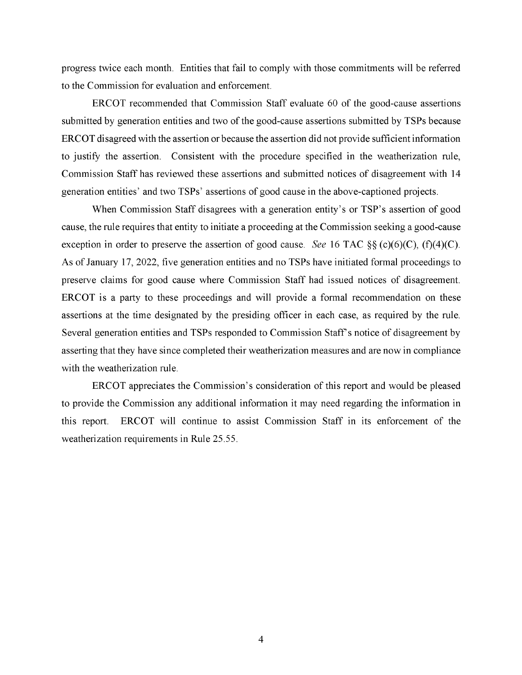progress twice each month. Entities that fail to comply with those commitments will be referred to the Commission for evaluation and enforcement.

ERCOT recommended that Commission Staff evaluate 60 of the good-cause assertions submitted by generation entities and two of the good-cause assertions submitted by TSPs because ERCOT disagreed with the assertion or because the assertion did not provide sufficient information to justify the assertion. Consistent with the procedure specified in the weatherization rule, Commission Staff has reviewed these assertions and submitted notices of disagreement with 14 generation entities' and two TSPs' assertions of good cause in the above-captioned projects.

When Commission Staff disagrees with a generation entity's or TSP's assertion of good cause, the rule requires that entity to initiate a proceeding at the Commission seeking a good-cause exception in order to preserve the assertion of good cause. See 16 TAC  $\S$ § (c)(6)(C), (f)(4)(C). As of January 17, 2022, five generation entities and no TSPs have initiated formal proceedings to preserve claims for good cause where Commission Staff had issued notices of disagreement. ERCOT is a party to these proceedings and will provide a formal recommendation on these assertions at the time designated by the presiding officer in each case, as required by the rule. Several generation entities and TSPs responded to Commission Staff' s notice of disagreement by asserting that they have since completed their weatherization measures and are now in compliance with the weatherization rule.

ERCOT appreciates the Commission's consideration of this report and would be pleased to provide the Commission any additional information it may need regarding the information in this report. ERCOT will continue to assist Commission Staff in its enforcement of the weatherization requirements in Rule 25.55.